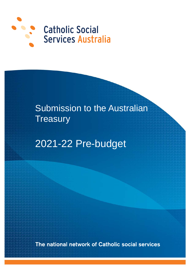

# Submission to the Australian **Treasury**

2021-22 Pre-budget

The national network of Catholic social services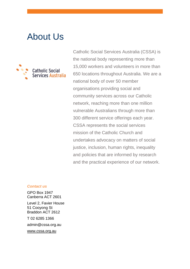# About Us



Catholic Social Services Australia (CSSA) is the national body representing more than 15,000 workers and volunteers in more than 650 locations throughout Australia. We are a national body of over 50 member organisations providing social and community services across our Catholic network, reaching more than one million vulnerable Australians through more than 300 different service offerings each year. CSSA represents the social services mission of the Catholic Church and undertakes advocacy on matters of social justice, inclusion, human rights, inequality and policies that are informed by research and the practical experience of our network.

#### *Contact us*

GPO Box 1947 Canberra ACT 2601

Level 2, Favier House 51 Cooyong St Braddon ACT 2612

T 02 6285 1366

admin@cssa.org.au

[www.cssa.org.au](http://www.cssa.org.au/)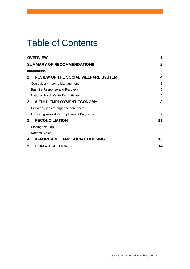# Table of Contents

| <b>OVERVIEW</b>                                  | 1              |
|--------------------------------------------------|----------------|
| <b>SUMMARY OF RECOMMENDATIONS</b>                | 2              |
| Introduction                                     |                |
| <b>REVIEW OF THE SOCIAL WELFARE SYSTEM</b><br>1. | 4              |
| <b>Compulsory Income Management</b>              | 6              |
| <b>Bushfire Response and Recovery</b>            | 6              |
| National Food Waste Tax Initiative               | $\overline{7}$ |
| A FULL EMPLOYMENT ECONOMY<br>$2_{-}$             | 8              |
| Delivering jobs through the care sector          | 8              |
| Improving Australia's Employment Programs:       | 9              |
| <b>RECONCILIATION</b><br>3.                      | 11             |
| Closing the Gap                                  | 11             |
| <b>National Voice</b>                            | 11             |
| <b>AFFORDABLE AND SOCIAL HOUSING</b><br>4.       | 13             |
| 5.<br><b>CLIMATE ACTION</b>                      | 14             |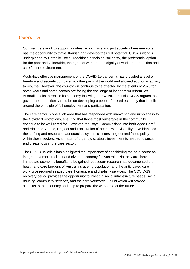### <span id="page-4-0"></span>**Overview**

Our members work to support a cohesive, inclusive and just society where everyone has the opportunity to thrive, flourish and develop their full potential. CSSA's work is underpinned by Catholic Social Teachings principles: solidarity, the preferential option for the poor and vulnerable, the rights of workers, the dignity of work and protection and care for the environment.

Australia's effective management of the COVID-19 pandemic has provided a level of freedom and security compared to other parts of the world and allowed economic activity to resume. However, the country will continue to be affected by the events of 2020 for some years and some sectors are facing the challenge of longer-term reform. As Australia looks to rebuild its economy following the COVID-19 crisis, CSSA argues that government attention should be on developing a people-focused economy that is built around the principle of full employment and participation.

The care sector is one such area that has responded with innovation and nimbleness to the Covid-19 restrictions, ensuring that those most vulnerable in the community continue to be well cared for. However, the Royal Commissions into both Aged Care1 and Violence, Abuse, Neglect and Exploitation of people with Disability have identified the staffing and resource inadequacies, systemic issues, neglect and failed policy within these sectors. As a matter of urgency, strategic investment is needed to sustain and create jobs in the care sector.

The COVID-19 crisis has highlighted the importance of considering the care sector as integral to a more resilient and diverse economy for Australia. Not only are there immediate economic benefits to be gained, but sector research has documented the health and care burdens of Australia's ageing population and the anticipated care workforce required in aged care, homecare and disability services. The COVID-19 recovery period provides the opportunity to invest in social infrastructure needs: social housing, community services, and the care workforce – all of which will provide stimulus to the economy and help to prepare the workforce of the future.

-

<sup>1</sup> https://agedcare.royalcommission.gov.au/publications/interim-report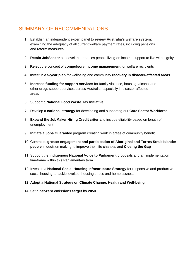## <span id="page-5-0"></span>SUMMARY OF RECOMMENDATIONS

- 1. Establish an independent expert panel to **review Australia's welfare system**; examining the adequacy of all current welfare payment rates, including pensions and reform measures
- 2. **Retain JobSeeker** at a level that enables people living on income support to live with dignity
- 3. **Reject** the concept of **compulsory income management** for welfare recipients
- 4. Invest in a **5-year plan** for wellbeing and community **recovery in disaster-affected areas**
- 5. **Increase funding for support services** for family violence, housing, alcohol and other drugs support services across Australia, especially in disaster affected areas
- 6. Support a **National Food Waste Tax Initiative**
- 7. Develop a **national strategy** for developing and supporting our **Care Sector Workforce**
- 8. **Expand the JobMaker Hiring Credit criteria** to include eligibility based on length of unemployment
- 9. **Initiate a Jobs Guarantee** program creating work in areas of community benefit
- 10. Commit to **greater engagement and participation of Aboriginal and Torres Strait Islander people** in decision making to improve their life chances and **Closing the Gap**
- 11. Support the **Indigenous National Voice to Parliament** proposals and an implementation timeframe within this Parliamentary term
- 12. Invest in a **National Social Housing Infrastructure Strategy** for responsive and productive social housing to tackle levels of housing stress and homelessness
- **13. Adopt a National Strategy on Climate Change, Health and Well-being**
- 14. Set a **net-zero emissions target by 2050**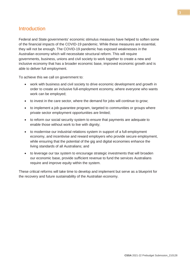### <span id="page-6-0"></span>**Introduction**

Federal and State governments' economic stimulus measures have helped to soften some of the financial impacts of the COVID-19 pandemic. While these measures are essential, they will not be enough. The COVID-19 pandemic has exposed weaknesses in the Australian economy which will necessitate structural reform. This will require governments, business, unions and civil society to work together to create a new and inclusive economy that has a broader economic base, improved economic growth and is able to deliver full employment.

To achieve this we call on government to:

- work with business and civil society to drive economic development and growth in order to create an inclusive full-employment economy, where everyone who wants work can be employed;
- to invest in the care sector, where the demand for jobs will continue to grow;
- to implement a job guarantee program, targeted to communities or groups where private sector employment opportunities are limited;
- to reform our social security system to ensure that payments are adequate to enable those without work to live with dignity;
- to modernise our industrial relations system in support of a full-employment economy, and incentivise and reward employers who provide secure employment, while ensuring that the potential of the gig and digital economies enhance the living standards of all Australians; and
- to leverage our tax system to encourage strategic investments that will broaden our economic base, provide sufficient revenue to fund the services Australians require and improve equity within the system.

<span id="page-6-1"></span>These critical reforms will take time to develop and implement but serve as a blueprint for the recovery and future sustainability of the Australian economy.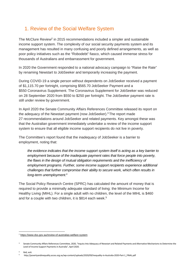## 1. Review of the Social Welfare System

The McClure Review<sup>2</sup> in 2015 recommendations included a simpler and sustainable income support system. The complexity of our social security payments system and its management has resulted in many confusing and poorly defined arrangements, as well as poor policy initiatives such as the "Robodebt" fiasco, which caused immense stress for thousands of Australians and embarrassment for government.

In 2020 the Government responded to a national advocacy campaign to "Raise the Rate" by renaming Newstart to JobSeeker and temporarily increasing the payment.

During COVID-19 a single person without dependents on JobSeeker received a payment of \$1,115.70 per fortnight, comprising \$565.70 JobSeeker Payment and a \$550 Coronavirus Supplement. The Coronavirus Supplement for JobSeeker was reduced on 28 September 2020 from \$550 to \$250 per fortnight. The JobSeeker payment rate is still under review by government.

In April 2020 the Senate Community Affairs References Committee released its report on the adequacy of the Newstart payment (now JobSeeker).<sup>3</sup> The report made 27 recommendations around JobSeeker and related payments. Key amongst these was that the Australian government immediately undertake a review of the income support system to ensure that all eligible income support recipients do not live in poverty.

The Committee's report found that the inadequacy of JobSeeker is a barrier to employment, noting that:

*the evidence indicates that the income support system itself is acting as a key barrier to employment because of the inadequate payment rates that force people into poverty, the flaws in the design of mutual obligation requirements and the inefficiency of employment programs. Further, some income support recipients experience additional challenges that further compromise their ability to secure work, which often results in long-term unemployment*. 4

The Social Policy Research Centre (SPRC) has calculated the amount of money that is required to provide a minimally adequate standard of living: the Minimum Income for Healthy Living (MIHL). For a single adult with no children, the level of the MIHL is \$460 and for a couple with two children, it is \$814 each week. 5

Ibid, xviii.

<sup>&</sup>lt;u>.</u> <sup>2</sup> <https://www.dss.gov.au/review-of-australias-welfare-system>

Senate Community Affairs References Committee, 2020, "Inquiry Into Adequacy of Newstart and Related Payments and Alternative Mechanisms to Determine the Level of Income Support Payments in Australia", April 2020.

<sup>5</sup> http://povertyandinequality.acoss.org.au/wp-content/uploads/2020/09/Inequality-in-Australia-2020-Part-1\_FINAL.pdf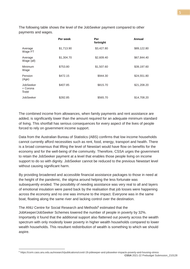The following table shows the level of the JobSeeker payment compared to other payments and wages.

|                               | Per week   | Per<br>fortnight | Annual      |
|-------------------------------|------------|------------------|-------------|
| Average<br>Wage FT            | \$1,713.90 | \$3,427.80       | \$89,122.80 |
| Average<br>Wage (all)         | \$1,304.70 | \$2,609.40       | \$67,844.40 |
| Minimum<br>Wage               | \$753.80   | \$1,507.60       | \$39,197.60 |
| Pension<br>(Age)              | \$472.15   | \$944.30         | \$24,551.80 |
| JobSeeker<br>+ Corona<br>Supp | \$407.85   | \$815.70         | \$21,208.20 |
| <b>JobSeeker</b>              | \$282.85   | \$565.70         | \$14,708.20 |

The combined income from allowances, when family payments and rent assistance are added, is significantly lower than the amount required for an adequate minimum standard of living. This shortfall has serious consequences for every aspect of the lives of people forced to rely on government income support.

Data from the Australian Bureau of Statistics (ABS) confirms that low income households cannot currently afford necessities such as rent, food, energy, transport and health. There is a broad consensus that lifting the level of Newstart would have flow on benefits for the economy and for the well-being of the community. Therefore, CSSA urges the government to retain the JobSeeker payment at a level that enables those people living on income support to do so with dignity. JobSeeker cannot be reduced to the previous Newstart level without causing significant harm.

By providing broadened and accessible financial assistance packages to those in need at the height of the pandemic, the stigma around helping the less fortunate was subsequently eroded. The possibility of needing assistance was very real to all and layers of emotional insulation were pared back by the realisation that job losses were happening across the economy and no one was immune to the impact. Everyone was in the same boat, floating along the same river and lacking control over the destination.

The ANU Centre for Social Research and Methods<sup>6</sup> estimated that the JobKeeper/JobSeeker Schemes lowered the number of people in poverty by 32%. Importantly it found that the additional support also flattened out poverty across the wealth spectrum with only modestly lower poverty in higher wealth households compared to lower wealth households. This resultant redistribution of wealth is something to which we should aspire.

-

**CSSA** 2021-22 Prebudget Submssion\_210128 <sup>6</sup> https://csrm.cass.anu.edu.au/research/publications/covid-19-jobkeeper-and-jobseeker-impacts-poverty-and-housing-stress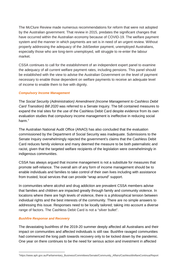The McClure Review made numerous recommendations for reform that were not adopted by the Australian government. That review in 2015, predates the significant changes that have occurred within the Australian economy because of COVID-19. The welfare payment system and the manner in which payments are set is in need of an urgent review. Without properly addressing the adequacy of the JobSeeker payment, unemployed Australians, especially those who are long-term unemployed, will struggle to re-enter the labour market.

CSSA continues to call for the establishment of an independent expert panel to examine the adequacy of all current welfare payment rates, including pensions. This panel should be established with the view to advise the Australian Government on the level of payment necessary to enable those dependent on welfare payments to receive an adequate level of income to enable them to live with dignity.

#### <span id="page-9-0"></span>*Compulsory Income Management*

The *Social Security (Administration) Amendment (Income Management to Cashless Debit Card Transition) Bill 2020* was referred to a Senate Inquiry. The bill contained measures to expand the trial sites for the use of the Cashless Debit Card despite evidence from its own evaluation studies that compulsory income management is ineffective in reducing social harm<sup>7</sup>

The Australian National Audit Office (ANAO) has also concluded that the evaluation commissioned by the Department of Social Security was inadequate. Submissions to the Senate Inquiry overwhelmingly rejected the government's claims that the Cashless Debit Card reduces family violence and many deemed the measure to be both paternalistic and racist, given that the targeted welfare recipients of the legislation were overwhelmingly in indigenous communities.

CSSA has always argued that income management is not a substitute for measures that promote self-reliance. The overall aim of any form of income management should be to enable individuals and families to take control of their own lives including with assistance from trusted, local services that can provide "wrap around" support.

In communities where alcohol and drug addiction are prevalent CSSA members advise that families and children are impacted greatly through family and community violence. In locations where there are high levels of violence, there is a philosophical tension between individual rights and the best interests of the community. There are no simple answers to addressing this issue. Responses need to be locally tailored; taking into account a diverse range of factors. The Cashless Debit Card is not a "silver bullet".

#### <span id="page-9-1"></span>*Bushfire Response and Recovery*

<u>.</u>

The devastating bushfires of the 2019-20 summer deeply affected all Australians and their impact on communities and affected individuals is still raw. Bushfire ravaged communities had commenced the long path towards recovery only to be locked down by the pandemic. One year on there continues to be the need for serious action and investment in affected

<sup>7</sup> https://www.aph.gov.au/Parliamentary\_Business/Committees/Senate/Community\_Affairs/CashlessWelfareContinua/Report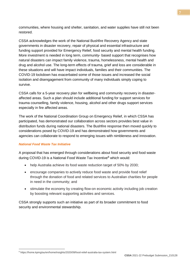communities, where housing and shelter, sanitation, and water supplies have still not been restored.

CSSA acknowledges the work of the National Bushfire Recovery Agency and state governments in disaster recovery, repair of physical and essential infrastructure and funding support provided for Emergency Relief, food security and mental health funding. More investment is needed in long term, community- based support that recognises how natural disasters can impact family violence, trauma, homelessness, mental health and drug and alcohol use. The long-term effects of trauma, grief and loss are considerable in these situations and will have impact individuals, families and their communities. The COVID-19 lockdown has exacerbated some of those issues and increased the social isolation and disengagement from community of many individuals simply coping to survive.

CSSA calls for a 5-year recovery plan for wellbeing and community recovery in disasteraffected areas. Such a plan should include additional funding for support services for trauma counselling, family violence, housing, alcohol and other drugs support services especially in fire affected areas.

The work of the National Coordination Group on Emergency Relief, in which CSSA has participated, has demonstrated our collaboration across sectors provides best value in distribution funds during national disasters. The Bushfire response then moved quickly to considerations posed by COVID-19 and has demonstrated how governments and agencies can collaborate to respond to emerging issues with nimbleness and innovation.

#### *National Food Waste Tax Initiative*

A proposal that has emerged through considerations about food security and food waste during COVID-19 is a National Food Waste Tax Incentive<sup>8</sup> which would:

- <span id="page-10-0"></span>• help Australia achieve its food waste reduction target of 50% by 2030;
- encourage companies to actively reduce food waste and provide food relief through the donation of food and related services to Australian charities for people in need in the community; and
- stimulate the economy by creating flow-on economic activity including job creation by boosting relevant supporting activities and services.

CSSA strongly supports such an initiative as part of its broader commitment to food security and environmental stewardship.

<sup>-</sup><sup>8</sup> https://home.kpmg/au/en/home/insights/2020/09/food-relief-australia-tax-system.html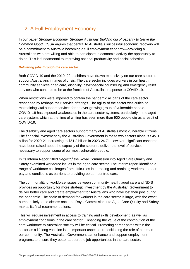## <span id="page-11-0"></span>2. A Full Employment Economy

In our paper *Stronger Economy, Stronger Australia: Building our Prosperity to Serve the Common Good*, CSSA argues that central to Australia's successful economic recovery will be a commitment to Australia becoming a full employment economy—providing all Australians who are willing and able to participate in economic activity the opportunity to do so. This is fundamental to improving national productivity and social cohesion.

#### <span id="page-11-1"></span>*Delivering jobs through the care sector*

Both COVID-19 and the 2019–20 bushfires have drawn extensively on our care sector to support Australians in times of crisis. The care sector includes workers in our health, community services aged care, disability, psychosocial counselling and emergency relief services who continue to be at the frontline of Australia's response to COVID-19.

When restrictions were imposed to contain the pandemic all parts of the care sector responded by reshape their service offerings. The agility of the sector was critical to maintaining vital support services for an ever-growing group of vulnerable people. COVID- 19 has exposed weaknesses in the care sector systems, particularly in the aged care system, which at the time of writing has seen more than 900 people die as a result of COVID-19.

The disability and aged care sectors support many of Australia's most vulnerable citizens. The financial investment by the Australian Government in these two sectors alone is \$45.3 billion for 2020-21 increasing to \$51.3 billion in 2023-24.71 However, significant concerns have been raised about the capacity of the sector to deliver the level of services necessary to support some of our most vulnerable people.

In its Interim Report titled *Neglect*, <sup>9</sup> the Royal Commission into Aged Care Quality and Safety examined workforce issues in the aged care sector. The interim report identified a range of workforce challenges from difficulties in attracting and retaining workers, to poor pay and conditions as barriers to providing person-centred care.

The commonality of workforce issues between community health, aged care and NDIS provides an opportunity for more strategic investment by the Australian Government to deliver better care and create employment for Australians who have lost their jobs during the pandemic. The scale of demand for workers in the care sector is large, with the exact number likely to be clearer once the Royal Commission into Aged Care Quality and Safety makes its final recommendations.

This will require investment in access to training and skills development, as well as employment conditions in the care sector. Enhancing the value of the contribution of the care workforce to Australian society will be critical. Promoting career paths within the sector as a lifelong vocation is an important aspect of repositioning the role of carers in our community. The Australian Government can enhance and support employment programs to ensure they better support the job opportunities in the care sector.

<sup>&</sup>lt;u>.</u> <sup>9</sup> https://agedcare.royalcommission.gov.au/sites/default/files/2020-02/interim-report-volume-1.pdf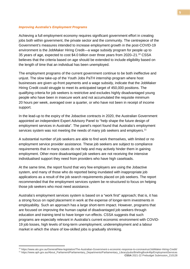#### <span id="page-12-0"></span>*Improving Australia's Employment Programs*

Achieving a full employment economy requires significant government effort in creating jobs both within government, the private sector and the community. The centrepiece of the Government's measures intended to increase employment growth in the post-COVID-19 environment is the JobMaker Hiring Credit—a wage subsidy program for people up to 35 years of age, expected to cost \$4.0 billion over three years from 2020–21.10 CSSA believes that the criteria based on age should be extended to include eligibility based on the length of time that an individual has been unemployed.

The employment programs of the current government continue to be both ineffective and unjust. The slow take-up of the Youth Jobs PaTH internship program where host businesses are given up-front payments and a wage subsidy, indicate that the JobMaker Hiring Credit could struggle to meet its anticipated target of 450,000 positions. The qualifying criteria for job seekers is restrictive and excludes highly disadvantaged young people who have been in insecure work and not accumulated the requisite minimum 20 hours per week, averaged over a quarter, or who have not been in receipt of income support.

In the lead-up to the expiry of the Jobactive contracts in 2020, the Australian Government appointed an independent Expert Advisory Panel to "help shape the future design of employment services in Australia". The panel's report found that Australia's employment services system was not meeting the needs of many job seekers and employers.<sup>11</sup>

A substantial number of job seekers are able to find work themselves, with limited or no employment service provider assistance. These job seekers are subject to compliance requirements that in many cases do not help and may actively hinder them in gaining employment. Other more disadvantaged job seekers are not receiving the intensive individualised support they need from providers who have high caseloads.

At the same time, the report found that very few employers are using the Jobactive system, and many of those who do reported being inundated with inappropriate job applications as a result of the job search requirements placed on job seekers. The report recommended that the employment services system be re-structured to focus on helping those job seekers who most need assistance.

Australia's employment services system is based on a "work first" approach; that is, it has a strong focus on rapid placement in work at the expense of longer-term investments in employability. Such an approach has a large short-term impact. However, programs that are focused on improving the human capital of disadvantaged job seekers through education and training tend to have longer run effects. CSSA suggests that such programs are especially relevant in Australia's current economic environment with COVID-19 job losses, high levels of long-term unemployment, underemployment and a labour market in which the share of low-skilled jobs is gradually shrinking.

<u>.</u>

<sup>10</sup> https://www.ato.gov.au/General/New-legislation/The-Australian-Government-s-economic-response-to-coronavirus/JobMaker-Hiring-Credit/ <sup>11</sup> https://www.aph.gov.au/About\_Parliament/Parliamentary\_Departments/Parliamentary\_Library/pubs/BriefingBook46p/EmploymentServices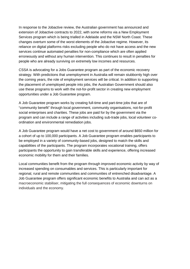In response to the Jobactive review, the Australian government has announced and extension of Jobactive contracts to 2022, with some reforms via a New Employment Services program which is being trialled in Adelaide and the NSW North Coast. These changes overturn some of the worst elements of the Jobactive regime. However, its reliance on digital platforms risks excluding people who do not have access and the new services continue automated penalties for non-compliance which are often applied erroneously and without any human intervention. This continues to result in penalties for people who are already surviving on extremely low incomes and resources.

CSSA is advocating for a Jobs Guarantee program as part of the economic recovery strategy. With predictions that unemployment in Australia will remain stubbornly high over the coming years, the role of employment services will be critical. In addition to supporting the placement of unemployed people into jobs, the Australian Government should also use these programs to work with the not-for-profit sector in creating new employment opportunities under a Job Guarantee program.

A Job Guarantee program works by creating full-time and part-time jobs that are of "community benefit" through local government, community organisations, not-for-profit social enterprises and charities. These jobs are paid for by the government via the program and can include a range of activities including sub-trade jobs, local volunteer coordination and environmental remediation jobs.

A Job Guarantee program would have a net cost to government of around \$650 million for a cohort of up to 100,000 participants. A Job Guarantee program enables participants to be employed in a variety of community-based jobs, designed to match the skills and capabilities of the participants. The program incorporates vocational training, offers participants the opportunity to gain transferable skills and experience, offering increased economic mobility for them and their families.

<span id="page-13-0"></span>Local communities benefit from the program through improved economic activity by way of increased spending on consumables and services. This is particularly important for regional, rural and remote communities and communities of entrenched disadvantage. A Job Guarantee program offers significant economic benefits to Australia and can act as a macroeconomic stabiliser, mitigating the full consequences of economic downturns on individuals and the economy.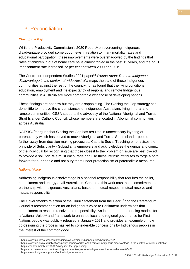## 3. Reconciliation

#### <span id="page-14-0"></span>*Closing the Gap*

While the Productivity Commission's 2020 Report<sup>12</sup> on overcoming indigenous disadvantage provided some good news in relation to infant mortality rates and educational participation, these improvements were overshadowed by the findings that rates of children in out of home care have almost tripled in the past 15 years, and the adult imprisonment rate increased 72 per cent between 2000 and 2019.

The Centre for Independent Studies 2021 paper13 *Worlds Apart: Remote Indigenous disadvantage in the context of wide Australia* maps the state of these Indigenous communities against the rest of the country. It has found that the living conditions, education, employment and life expectancy of regional and remote Indigenous communities in Australia are more comparable with those of developing nations.

These findings are not new but they are disappointing. The Closing the Gap strategy has done little to improve the circumstances of Indigenous Australians living in rural and remote communities. CSSA supports the advocacy of the National Aboriginal and Torres Strait Islander Catholic Council, whose members are located in Aboriginal communities across Australia.

NATSICC<sup>14</sup> argues that Closing the Gap has resulted in unnecessary layering of bureaucracy which has served to move Aboriginal and Torres Strait Islander people further away from decision making processes. Catholic Social Teaching emphasises the principle of Subsidiarity - Subsidiarity empowers and acknowledges the genius and dignity of the individual by recognising that those closest to the problem or issue are best placed to provide a solution. We must encourage and use these intrinsic attributes to forge a path forward for our people and not bury them under protectionism or paternalistic measures.

#### <span id="page-14-1"></span>*National Voice*

Addressing Indigenous disadvantage is a national responsibility that requires the belief, commitment and energy of all Australians. Central to this work must be a commitment to partnership with Indigenous Australians, based on mutual respect, mutual resolve and mutual responsibility.

The Government's rejection of the Uluru Statement from the Heart<sup>15</sup> and the Referendum Council's recommendation for an indigenous voice to Parliament undermines that commitment to respect, resolve and responsibility. An interim report proposing models for a National Voice<sup>16</sup> and framework to enhance local and regional governance for First Nations people was publicly released in January 2021 and provides an example of how co-designing the process has led to considerable concessions by Indigenous peoples in the interest of the common good.

<sup>&</sup>lt;u>.</u> <sup>12</sup> https://www.pc.gov.au/research/ongoing/overcoming-indigenous-disadvantage/2020

<sup>13</sup> https://www.cis.org.au/publications/policy-papers/worlds-apart-remote-indigenous-disadvantage-in-the-context-of-wider-australia/ <sup>14</sup> https://mailchi.mp/bb6de3f89177/why-isnt-the-gap-closing

<sup>15</sup> https://theconversation.com/turnbull-government-says-no-to-indigenous-voice-to-parliament-86421

<sup>16</sup> https://www.indigenous.gov.au/topics/indigenous-voice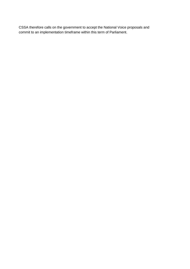<span id="page-15-0"></span>CSSA therefore calls on the government to accept the National Voice proposals and commit to an implementation timeframe within this term of Parliament.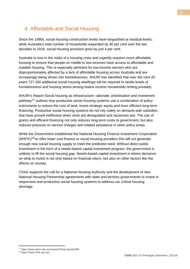### 4. Affordable and Social Housing

Since the 1990s, social housing construction levels have languished at residual levels; while Australia's total number of households expanded by 30 per cent over the two decades to 2016, social housing provision grew by just 4 per cent.

Australia is now in the midst of a housing crisis and urgently requires more affordable housing to ensure that people on middle to low incomes have access to affordable and suitable housing. This is especially pertinent for low-income earners who are disproportionately affected by a lack of affordable housing across Australia and are increasingly being driven into homelessness. AHURI has identified that over the next 20 years 727,300 additional social housing dwellings will be required to tackle levels of homelessness and housing stress among lowest income households renting privately.

AHURI's Report Social housing as infrastructure: rationale, prioritisation and investment pathway<sup>17</sup> outlines how productive social housing systems use a combination of policy instruments to reduce the cost of land, invest strategic equity and lever efficient long-term financing. Productive social housing systems do not rely solely on demand-side subsidies that have proved ineffective when rents are deregulated and vacancies low. The use of grants and efficient financing not only reduces long-term costs to government, but also reduces pressure on service charges and related assistance in other policy areas.

While the Government established the National Housing Finance Investment Corporation  $(NHFIC)^{18}$  to offer lower cost finance to social housing providers this will not generate enough new social housing supply to meet the predicted need. Without direct public investment in the form of a needs-based capital investment program, the government is unlikely to fill the social housing gap. Needs-based capital investment is where decisions on what to invest is not only based on financial return, but also on other factors like the effects on society.

CSSA supports the call for a National Housing Authority and the development of new National Housing Partnership agreements with state and territory governments to invest in responsive and productive social housing systems to address our critical housing shortage.

<sup>18</sup> https://www.nhfic.gov.au/

<sup>&</sup>lt;u>.</u> <sup>17</sup> https://www.ahuri.edu.au/research/final-reports/306